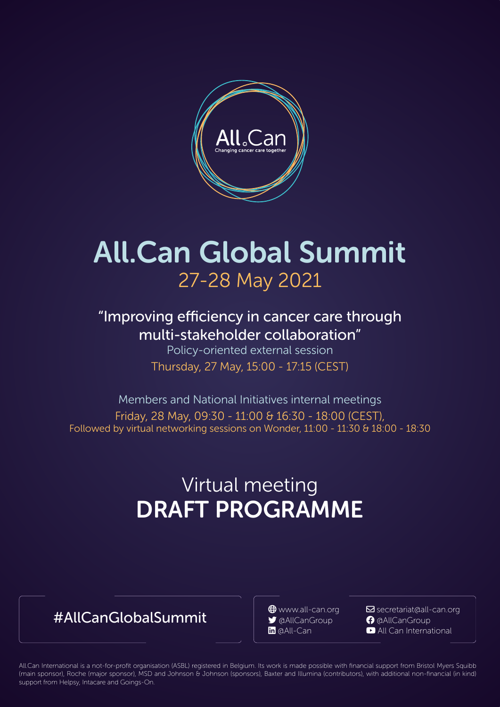

# All.Can Global Summit 27-28 May 2021

"Improving efficiency in cancer care through multi-stakeholder collaboration"

Policy-oriented external session Thursday, 27 May, 15:00 - 17:15 (CEST)

Members and National Initiatives internal meetings Friday, 28 May, 09:30 - 11:00 & 16:30 - 18:00 (CEST), Followed by virtual networking sessions on Wonder, 11:00 - 11:30 & 18:00 - 18:30

# DRAFT PROGRAMME Virtual meeting

## #AllCanGlobalSummit  $\theta$ <sup>www.all-can.org Misecretariat@all-</sub></sup>

 $\boxdot$  secretariat@all-can.org

**in** @All-Can **youtube All Can International** 

1 All.Can International is a not-for-profit organisation (ASBL) registered in Belgium. Its work is made possible with financial support from Bristol Myers Squibb (main sponsor), Roche (major sponsor), MSD and Johnson & Johnson (sponsors), Baxter and Illumina (contributors), with additional non-financial (in kind) support from Helpsy, Intacare and Goings-On.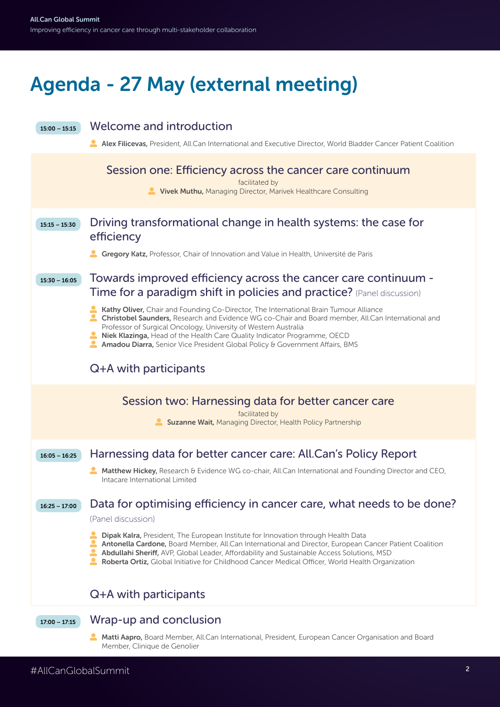# Agenda - 27 May (external meeting)